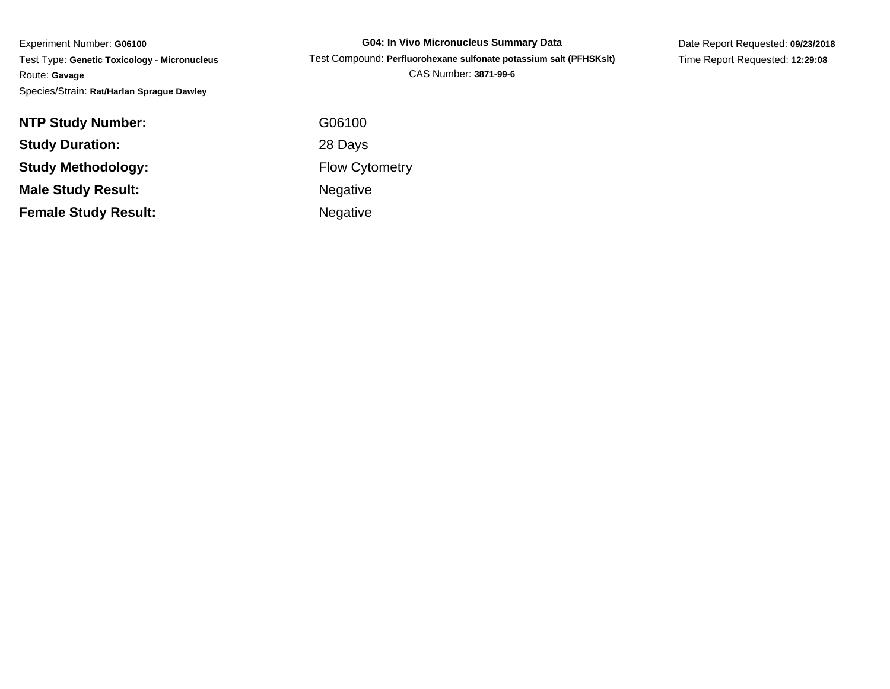Experiment Number: **G06100** Test Type: **Genetic Toxicology - Micronucleus**Route: **Gavage**Species/Strain: **Rat/Harlan Sprague Dawley**

**G04: In Vivo Micronucleus Summary Data** Test Compound: **Perfluorohexane sulfonate potassium salt (PFHSKslt)**CAS Number: **3871-99-6**

Date Report Requested: **09/23/2018**Time Report Requested: **12:29:08**

| <b>NTP Study Number:</b>    | G06100                |
|-----------------------------|-----------------------|
| <b>Study Duration:</b>      | 28 Days               |
| <b>Study Methodology:</b>   | <b>Flow Cytometry</b> |
| <b>Male Study Result:</b>   | <b>Negative</b>       |
| <b>Female Study Result:</b> | <b>Negative</b>       |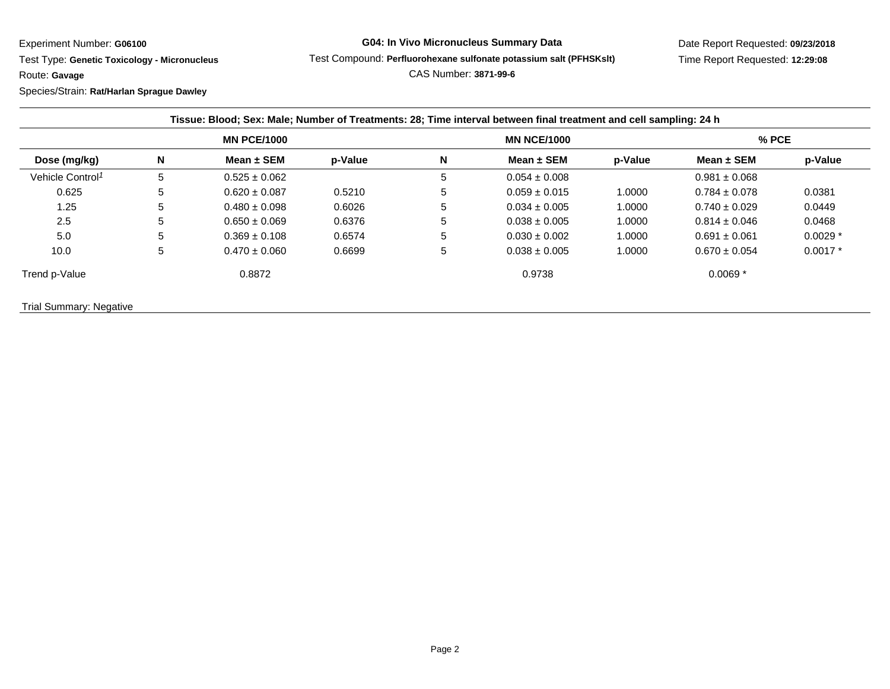Experiment Number: **G06100**

Test Type: **Genetic Toxicology - Micronucleus**

Route: **Gavage**

Species/Strain: **Rat/Harlan Sprague Dawley**

## **G04: In Vivo Micronucleus Summary Data**

Test Compound: **Perfluorohexane sulfonate potassium salt (PFHSKslt)**

CAS Number: **3871-99-6**

| Dose (mg/kg)                 | <b>MN PCE/1000</b> |                   |         | <b>MN NCE/1000</b> |                   |         | $%$ PCE           |           |
|------------------------------|--------------------|-------------------|---------|--------------------|-------------------|---------|-------------------|-----------|
|                              | N                  | Mean $\pm$ SEM    | p-Value | N                  | Mean $\pm$ SEM    | p-Value | Mean $\pm$ SEM    | p-Value   |
| Vehicle Control <sup>1</sup> | 5                  | $0.525 \pm 0.062$ |         | 5                  | $0.054 \pm 0.008$ |         | $0.981 \pm 0.068$ |           |
| 0.625                        | 5                  | $0.620 \pm 0.087$ | 0.5210  | 5                  | $0.059 \pm 0.015$ | 1.0000  | $0.784 \pm 0.078$ | 0.0381    |
| 1.25                         | 5                  | $0.480 \pm 0.098$ | 0.6026  | 5                  | $0.034 \pm 0.005$ | 1.0000  | $0.740 \pm 0.029$ | 0.0449    |
| 2.5                          | 5                  | $0.650 \pm 0.069$ | 0.6376  | 5.                 | $0.038 \pm 0.005$ | 1.0000  | $0.814 \pm 0.046$ | 0.0468    |
| 5.0                          | 5                  | $0.369 \pm 0.108$ | 0.6574  | 5.                 | $0.030 \pm 0.002$ | 1.0000  | $0.691 \pm 0.061$ | $0.0029*$ |
| 10.0                         | 5                  | $0.470 \pm 0.060$ | 0.6699  | 5                  | $0.038 \pm 0.005$ | 1.0000  | $0.670 \pm 0.054$ | $0.0017*$ |
| Trend p-Value                |                    | 0.8872            |         |                    | 0.9738            |         | $0.0069*$         |           |

Trial Summary: Negative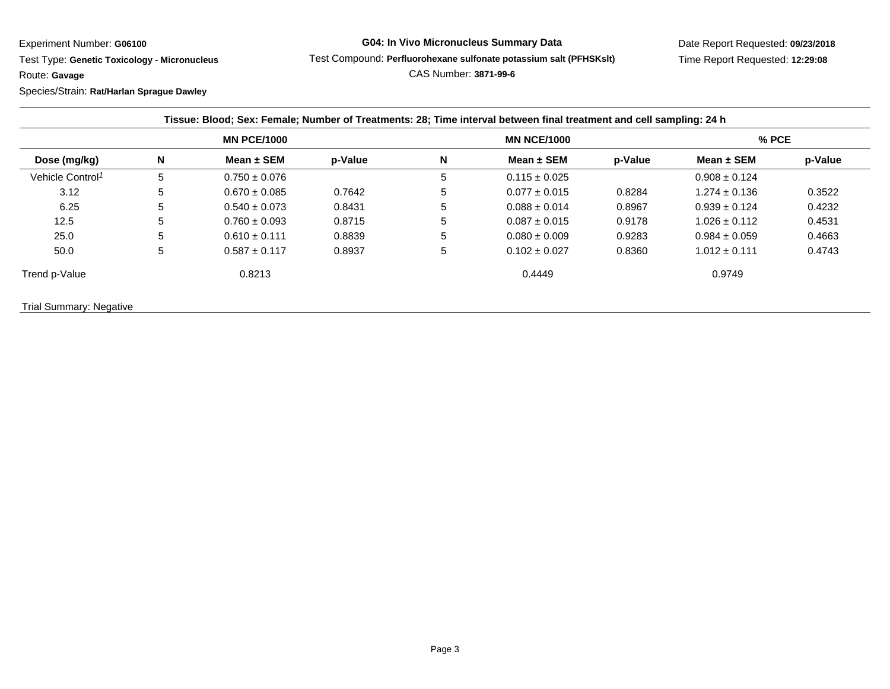Experiment Number: **G06100**

Test Type: **Genetic Toxicology - Micronucleus**

Route: **Gavage**

Species/Strain: **Rat/Harlan Sprague Dawley**

## **G04: In Vivo Micronucleus Summary Data**

Test Compound: **Perfluorohexane sulfonate potassium salt (PFHSKslt)**

Date Report Requested: **09/23/2018**Time Report Requested: **12:29:08**

CAS Number: **3871-99-6**

| Dose (mg/kg)                 | <b>MN PCE/1000</b> |                   |         | <b>MN NCE/1000</b> |                   |         | $%$ PCE           |         |
|------------------------------|--------------------|-------------------|---------|--------------------|-------------------|---------|-------------------|---------|
|                              | N                  | Mean $\pm$ SEM    | p-Value | N                  | Mean $\pm$ SEM    | p-Value | Mean $\pm$ SEM    | p-Value |
| Vehicle Control <sup>1</sup> | 5                  | $0.750 \pm 0.076$ |         | 5                  | $0.115 \pm 0.025$ |         | $0.908 \pm 0.124$ |         |
| 3.12                         | 5                  | $0.670 \pm 0.085$ | 0.7642  | 5                  | $0.077 \pm 0.015$ | 0.8284  | $1.274 \pm 0.136$ | 0.3522  |
| 6.25                         | 5                  | $0.540 \pm 0.073$ | 0.8431  | 5                  | $0.088 \pm 0.014$ | 0.8967  | $0.939 \pm 0.124$ | 0.4232  |
| 12.5                         | 5                  | $0.760 \pm 0.093$ | 0.8715  | 5                  | $0.087 \pm 0.015$ | 0.9178  | $1.026 \pm 0.112$ | 0.4531  |
| 25.0                         | 5                  | $0.610 \pm 0.111$ | 0.8839  | 5                  | $0.080 \pm 0.009$ | 0.9283  | $0.984 \pm 0.059$ | 0.4663  |
| 50.0                         | 5                  | $0.587 \pm 0.117$ | 0.8937  | 5                  | $0.102 \pm 0.027$ | 0.8360  | $1.012 \pm 0.111$ | 0.4743  |
| Trend p-Value                |                    | 0.8213            |         |                    | 0.4449            |         | 0.9749            |         |